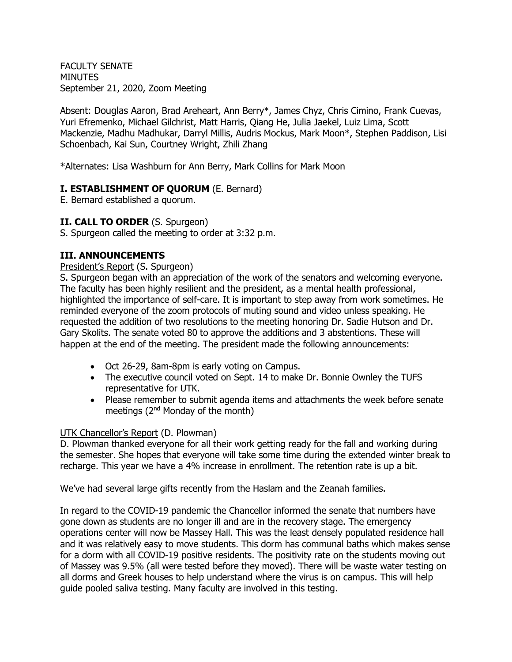FACULTY SENATE MINUTES September 21, 2020, Zoom Meeting

Absent: Douglas Aaron, Brad Areheart, Ann Berry\*, James Chyz, Chris Cimino, Frank Cuevas, Yuri Efremenko, Michael Gilchrist, Matt Harris, Qiang He, Julia Jaekel, Luiz Lima, Scott Mackenzie, Madhu Madhukar, Darryl Millis, Audris Mockus, Mark Moon\*, Stephen Paddison, Lisi Schoenbach, Kai Sun, Courtney Wright, Zhili Zhang

\*Alternates: Lisa Washburn for Ann Berry, Mark Collins for Mark Moon

### **I. ESTABLISHMENT OF QUORUM** (E. Bernard)

E. Bernard established a quorum.

### **II. CALL TO ORDER** (S. Spurgeon)

S. Spurgeon called the meeting to order at 3:32 p.m.

### **III. ANNOUNCEMENTS**

#### President's Report (S. Spurgeon)

S. Spurgeon began with an appreciation of the work of the senators and welcoming everyone. The faculty has been highly resilient and the president, as a mental health professional, highlighted the importance of self-care. It is important to step away from work sometimes. He reminded everyone of the zoom protocols of muting sound and video unless speaking. He requested the addition of two resolutions to the meeting honoring Dr. Sadie Hutson and Dr. Gary Skolits. The senate voted 80 to approve the additions and 3 abstentions. These will happen at the end of the meeting. The president made the following announcements:

- Oct 26-29, 8am-8pm is early voting on Campus.
- The executive council voted on Sept. 14 to make Dr. Bonnie Ownley the TUFS representative for UTK.
- Please remember to submit agenda items and attachments the week before senate meetings (2nd Monday of the month)

### UTK Chancellor's Report (D. Plowman)

D. Plowman thanked everyone for all their work getting ready for the fall and working during the semester. She hopes that everyone will take some time during the extended winter break to recharge. This year we have a 4% increase in enrollment. The retention rate is up a bit.

We've had several large gifts recently from the Haslam and the Zeanah families.

In regard to the COVID-19 pandemic the Chancellor informed the senate that numbers have gone down as students are no longer ill and are in the recovery stage. The emergency operations center will now be Massey Hall. This was the least densely populated residence hall and it was relatively easy to move students. This dorm has communal baths which makes sense for a dorm with all COVID-19 positive residents. The positivity rate on the students moving out of Massey was 9.5% (all were tested before they moved). There will be waste water testing on all dorms and Greek houses to help understand where the virus is on campus. This will help guide pooled saliva testing. Many faculty are involved in this testing.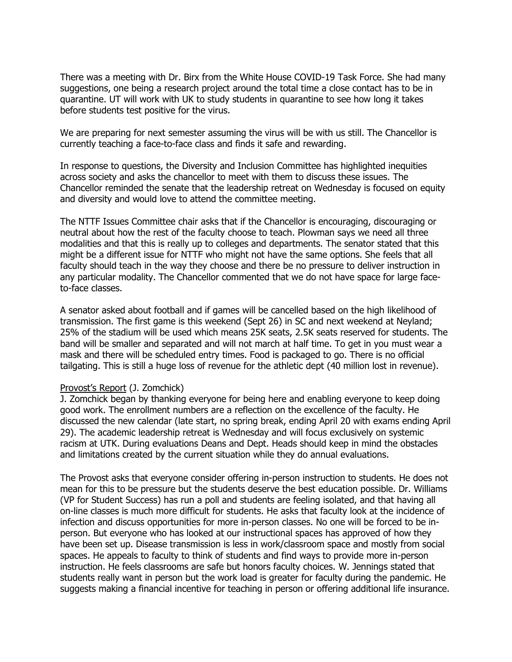There was a meeting with Dr. Birx from the White House COVID-19 Task Force. She had many suggestions, one being a research project around the total time a close contact has to be in quarantine. UT will work with UK to study students in quarantine to see how long it takes before students test positive for the virus.

We are preparing for next semester assuming the virus will be with us still. The Chancellor is currently teaching a face-to-face class and finds it safe and rewarding.

In response to questions, the Diversity and Inclusion Committee has highlighted inequities across society and asks the chancellor to meet with them to discuss these issues. The Chancellor reminded the senate that the leadership retreat on Wednesday is focused on equity and diversity and would love to attend the committee meeting.

The NTTF Issues Committee chair asks that if the Chancellor is encouraging, discouraging or neutral about how the rest of the faculty choose to teach. Plowman says we need all three modalities and that this is really up to colleges and departments. The senator stated that this might be a different issue for NTTF who might not have the same options. She feels that all faculty should teach in the way they choose and there be no pressure to deliver instruction in any particular modality. The Chancellor commented that we do not have space for large faceto-face classes.

A senator asked about football and if games will be cancelled based on the high likelihood of transmission. The first game is this weekend (Sept 26) in SC and next weekend at Neyland; 25% of the stadium will be used which means 25K seats, 2.5K seats reserved for students. The band will be smaller and separated and will not march at half time. To get in you must wear a mask and there will be scheduled entry times. Food is packaged to go. There is no official tailgating. This is still a huge loss of revenue for the athletic dept (40 million lost in revenue).

#### Provost's Report (J. Zomchick)

J. Zomchick began by thanking everyone for being here and enabling everyone to keep doing good work. The enrollment numbers are a reflection on the excellence of the faculty. He discussed the new calendar (late start, no spring break, ending April 20 with exams ending April 29). The academic leadership retreat is Wednesday and will focus exclusively on systemic racism at UTK. During evaluations Deans and Dept. Heads should keep in mind the obstacles and limitations created by the current situation while they do annual evaluations.

The Provost asks that everyone consider offering in-person instruction to students. He does not mean for this to be pressure but the students deserve the best education possible. Dr. Williams (VP for Student Success) has run a poll and students are feeling isolated, and that having all on-line classes is much more difficult for students. He asks that faculty look at the incidence of infection and discuss opportunities for more in-person classes. No one will be forced to be inperson. But everyone who has looked at our instructional spaces has approved of how they have been set up. Disease transmission is less in work/classroom space and mostly from social spaces. He appeals to faculty to think of students and find ways to provide more in-person instruction. He feels classrooms are safe but honors faculty choices. W. Jennings stated that students really want in person but the work load is greater for faculty during the pandemic. He suggests making a financial incentive for teaching in person or offering additional life insurance.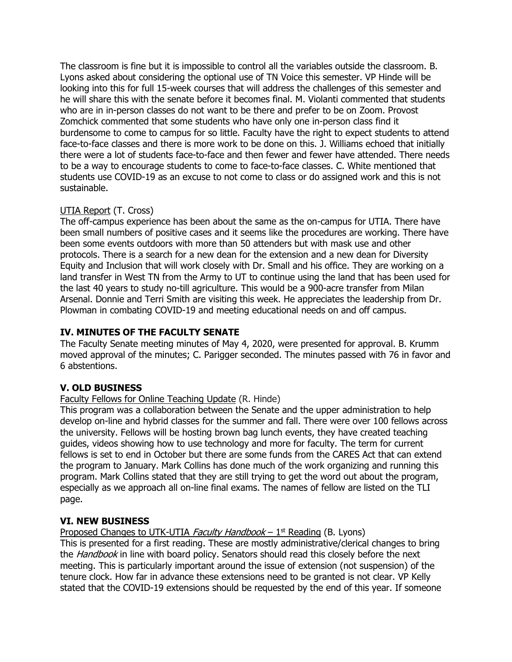The classroom is fine but it is impossible to control all the variables outside the classroom. B. Lyons asked about considering the optional use of TN Voice this semester. VP Hinde will be looking into this for full 15-week courses that will address the challenges of this semester and he will share this with the senate before it becomes final. M. Violanti commented that students who are in in-person classes do not want to be there and prefer to be on Zoom. Provost Zomchick commented that some students who have only one in-person class find it burdensome to come to campus for so little. Faculty have the right to expect students to attend face-to-face classes and there is more work to be done on this. J. Williams echoed that initially there were a lot of students face-to-face and then fewer and fewer have attended. There needs to be a way to encourage students to come to face-to-face classes. C. White mentioned that students use COVID-19 as an excuse to not come to class or do assigned work and this is not sustainable.

# UTIA Report (T. Cross)

The off-campus experience has been about the same as the on-campus for UTIA. There have been small numbers of positive cases and it seems like the procedures are working. There have been some events outdoors with more than 50 attenders but with mask use and other protocols. There is a search for a new dean for the extension and a new dean for Diversity Equity and Inclusion that will work closely with Dr. Small and his office. They are working on a land transfer in West TN from the Army to UT to continue using the land that has been used for the last 40 years to study no-till agriculture. This would be a 900-acre transfer from Milan Arsenal. Donnie and Terri Smith are visiting this week. He appreciates the leadership from Dr. Plowman in combating COVID-19 and meeting educational needs on and off campus.

# **IV. MINUTES OF THE FACULTY SENATE**

The Faculty Senate meeting minutes of May 4, 2020, were presented for approval. B. Krumm moved approval of the minutes; C. Parigger seconded. The minutes passed with 76 in favor and 6 abstentions.

## **V. OLD BUSINESS**

## Faculty Fellows for Online Teaching Update (R. Hinde)

This program was a collaboration between the Senate and the upper administration to help develop on-line and hybrid classes for the summer and fall. There were over 100 fellows across the university. Fellows will be hosting brown bag lunch events, they have created teaching guides, videos showing how to use technology and more for faculty. The term for current fellows is set to end in October but there are some funds from the CARES Act that can extend the program to January. Mark Collins has done much of the work organizing and running this program. Mark Collins stated that they are still trying to get the word out about the program, especially as we approach all on-line final exams. The names of fellow are listed on the TLI page.

## **VI. NEW BUSINESS**

## Proposed Changes to UTK-UTIA *Faculty Handbook* – 1st Reading (B. Lyons)

This is presented for a first reading. These are mostly administrative/clerical changes to bring the *Handbook* in line with board policy. Senators should read this closely before the next meeting. This is particularly important around the issue of extension (not suspension) of the tenure clock. How far in advance these extensions need to be granted is not clear. VP Kelly stated that the COVID-19 extensions should be requested by the end of this year. If someone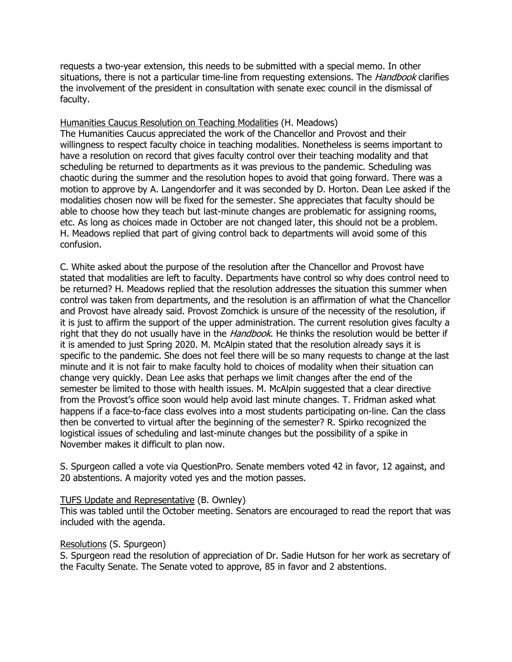requests a two-year extension, this needs to be submitted with a special memo. In other situations, there is not a particular time-line from requesting extensions. The *Handbook* clarifies the involvement of the president in consultation with senate exec council in the dismissal of faculty.

Humanities Caucus Resolution on Teaching Modalities (H. Meadows) The Humanities Caucus appreciated the work of the Chancellor and Provost and their willingness to respect faculty choice in teaching modalities. Nonetheless is seems important to have a resolution on record that gives faculty control over their teaching modality and that scheduling be returned to departments as it was previous to the pandemic. Scheduling was chaotic during the summer and the resolution hopes to avoid that going forward. There was a motion to approve by A. Langendorfer and it was seconded by D. Horton. Dean Lee asked if the modalities chosen now will be fixed for the semester. She appreciates that faculty should be able to choose how they teach but last-minute changes are problematic for assigning rooms, etc. As long as choices made in October are not changed later, this should not be a problem. H. Meadows replied that part of giving control back to departments will avoid some of this confusion.

C. White asked about the purpose of the resolution after the Chancellor and Provost have stated that modalities are left to faculty. Departments have control so why does control need to be returned? H. Meadows replied that the resolution addresses the situation this summer when control was taken from departments, and the resolution is an affirmation of what the Chancellor and Provost have already said. Provost Zomchick is unsure of the necessity of the resolution, if it is just to affirm the support of the upper administration. The current resolution gives faculty a right that they do not usually have in the *Handbook*. He thinks the resolution would be better if it is amended to just Spring 2020. M. McAlpin stated that the resolution already says it is specific to the pandemic. She does not feel there will be so many requests to change at the last minute and it is not fair to make faculty hold to choices of modality when their situation can change very quickly. Dean Lee asks that perhaps we limit changes after the end of the semester be limited to those with health issues. M. McAlpin suggested that a clear directive from the Provost's office soon would help avoid last minute changes. T. Fridman asked what happens if a face-to-face class evolves into a most students participating on-line. Can the class then be converted to virtual after the beginning of the semester? R. Spirko recognized the logistical issues of scheduling and last-minute changes but the possibility of a spike in November makes it difficult to plan now.

S. Spurgeon called a vote via QuestionPro. Senate members voted 42 in favor, 12 against, and 20 abstentions. A majority voted yes and the motion passes.

### TUFS Update and Representative (B. Ownley)

This was tabled until the October meeting. Senators are encouraged to read the report that was included with the agenda.

### Resolutions (S. Spurgeon)

S. Spurgeon read the resolution of appreciation of Dr. Sadie Hutson for her work as secretary of the Faculty Senate. The Senate voted to approve, 85 in favor and 2 abstentions.